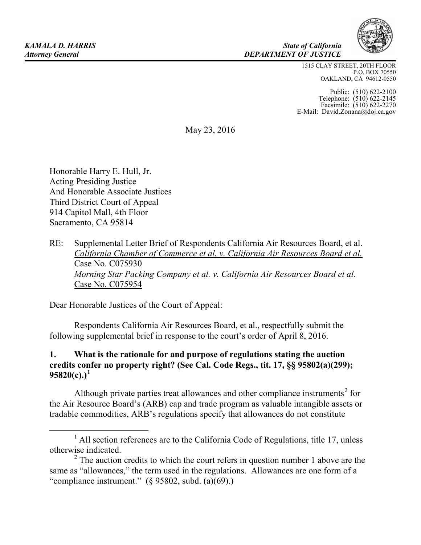#### *KAMALA D. HARRIS State of California Attorney General DEPARTMENT OF JUSTICE*

1515 CLAY STREET, 20TH FLOOR P.O. BOX 70550 OAKLAND, CA 94612-0550

Public: (510) 622-2100 Telephone: (510) 622-2145 Facsimile: (510) 622-2270 E-Mail: David.Zonana@doj.ca.gov

May 23, 2016

Honorable Harry E. Hull, Jr. Acting Presiding Justice And Honorable Associate Justices Third District Court of Appeal 914 Capitol Mall, 4th Floor Sacramento, CA 95814

RE: Supplemental Letter Brief of Respondents California Air Resources Board, et al. *California Chamber of Commerce et al. v. California Air Resources Board et al.* Case No. C075930 *Morning Star Packing Company et al. v. California Air Resources Board et al.* Case No. C075954

Dear Honorable Justices of the Court of Appeal:

Respondents California Air Resources Board, et al., respectfully submit the following supplemental brief in response to the court's order of April 8, 2016.

### **1. What is the rationale for and purpose of regulations stating the auction credits confer no property right? (See Cal. Code Regs., tit. 17, §§ 95802(a)(299);**   $95820(c).$ <sup>[1](#page-0-0)</sup>

Although private parties treat allowances and other compliance instruments<sup>[2](#page-0-1)</sup> for the Air Resource Board's (ARB) cap and trade program as valuable intangible assets or tradable commodities, ARB's regulations specify that allowances do not constitute

<span id="page-0-0"></span> $<sup>1</sup>$  All section references are to the California Code of Regulations, title 17, unless</sup> otherwise indicated. 2

<span id="page-0-1"></span><sup>&</sup>lt;sup>2</sup> The auction credits to which the court refers in question number 1 above are the same as "allowances," the term used in the regulations. Allowances are one form of a "compliance instrument."  $(895802, \text{subd.} (a)(69))$ .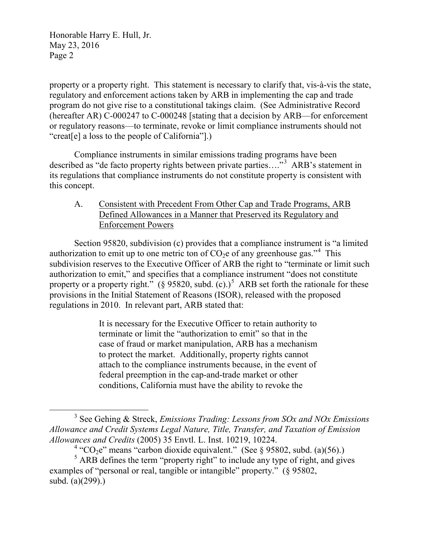property or a property right. This statement is necessary to clarify that, vis-à-vis the state, regulatory and enforcement actions taken by ARB in implementing the cap and trade program do not give rise to a constitutional takings claim. (See Administrative Record (hereafter AR) C-000247 to C-000248 [stating that a decision by ARB—for enforcement or regulatory reasons—to terminate, revoke or limit compliance instruments should not "creat[e] a loss to the people of California"].)

Compliance instruments in similar emissions trading programs have been described as "de facto property rights between private parties...."<sup>[3](#page-1-0)</sup> ARB's statement in its regulations that compliance instruments do not constitute property is consistent with this concept.

A. Consistent with Precedent From Other Cap and Trade Programs, ARB Defined Allowances in a Manner that Preserved its Regulatory and Enforcement Powers

Section 95820, subdivision (c) provides that a compliance instrument is "a limited authorization to emit up to one metric ton of  $CO<sub>2</sub>e$  of any greenhouse gas."<sup>[4](#page-1-1)</sup> This subdivision reserves to the Executive Officer of ARB the right to "terminate or limit such authorization to emit," and specifies that a compliance instrument "does not constitute property or a property right." (§ 9[5](#page-1-2)820, subd.  $(c)$ .)<sup>5</sup> ARB set forth the rationale for these provisions in the Initial Statement of Reasons (ISOR), released with the proposed regulations in 2010. In relevant part, ARB stated that:

> It is necessary for the Executive Officer to retain authority to terminate or limit the "authorization to emit" so that in the case of fraud or market manipulation, ARB has a mechanism to protect the market. Additionally, property rights cannot attach to the compliance instruments because, in the event of federal preemption in the cap-and-trade market or other conditions, California must have the ability to revoke the

<span id="page-1-0"></span> <sup>3</sup> See Gehing & Streck, *Emissions Trading: Lessons from SOx and NOx Emissions Allowance and Credit Systems Legal Nature, Title, Transfer, and Taxation of Emission Allowances and Credits* (2005) 35 Envtl. L. Inst. 10219, 10224.

<sup>&</sup>lt;sup>4</sup> "CO<sub>2</sub>e" means "carbon dioxide equivalent." (See § 95802, subd. (a)(56).)

<span id="page-1-2"></span><span id="page-1-1"></span> $<sup>5</sup>$  ARB defines the term "property right" to include any type of right, and gives</sup> examples of "personal or real, tangible or intangible" property." (§ 95802, subd. (a)(299).)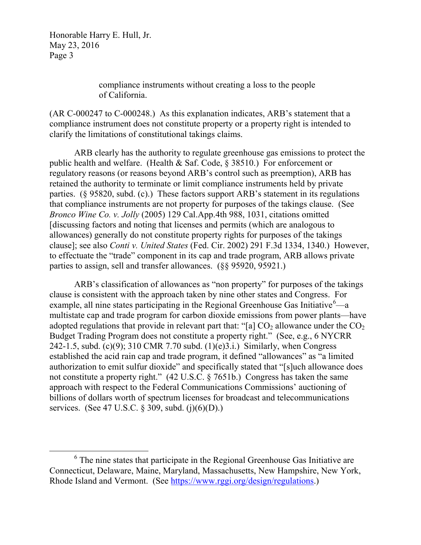> compliance instruments without creating a loss to the people of California.

(AR C-000247 to C-000248.) As this explanation indicates, ARB's statement that a compliance instrument does not constitute property or a property right is intended to clarify the limitations of constitutional takings claims.

ARB clearly has the authority to regulate greenhouse gas emissions to protect the public health and welfare. (Health  $&$  Saf. Code,  $&$  38510.) For enforcement or regulatory reasons (or reasons beyond ARB's control such as preemption), ARB has retained the authority to terminate or limit compliance instruments held by private parties. (§ 95820, subd. (c).) These factors support ARB's statement in its regulations that compliance instruments are not property for purposes of the takings clause. (See *Bronco Wine Co. v. Jolly* (2005) 129 Cal.App.4th 988, 1031, citations omitted [discussing factors and noting that licenses and permits (which are analogous to allowances) generally do not constitute property rights for purposes of the takings clause]; see also *Conti v. United States* (Fed. Cir. 2002) 291 F.3d 1334, 1340.) However, to effectuate the "trade" component in its cap and trade program, ARB allows private parties to assign, sell and transfer allowances. (§§ 95920, 95921.)

ARB's classification of allowances as "non property" for purposes of the takings clause is consistent with the approach taken by nine other states and Congress. For example, all nine states participating in the Regional Greenhouse Gas Initiative $^6$  $^6$ —a multistate cap and trade program for carbon dioxide emissions from power plants—have adopted regulations that provide in relevant part that: "[a]  $CO<sub>2</sub>$  allowance under the  $CO<sub>2</sub>$ Budget Trading Program does not constitute a property right." (See, e.g., 6 NYCRR 242-1.5, subd. (c)(9); 310 CMR 7.70 subd. (1)(e)3.i.) Similarly, when Congress established the acid rain cap and trade program, it defined "allowances" as "a limited authorization to emit sulfur dioxide" and specifically stated that "[s]uch allowance does not constitute a property right." (42 U.S.C. § 7651b.) Congress has taken the same approach with respect to the Federal Communications Commissions' auctioning of billions of dollars worth of spectrum licenses for broadcast and telecommunications services. (See 47 U.S.C. § 309, subd. (j)(6)(D).)

<span id="page-2-0"></span> $6$  The nine states that participate in the Regional Greenhouse Gas Initiative are Connecticut, Delaware, Maine, Maryland, Massachusetts, New Hampshire, New York, Rhode Island and Vermont. (See [https://www.rggi.org/design/regulations.](https://www.rggi.org/design/regulations))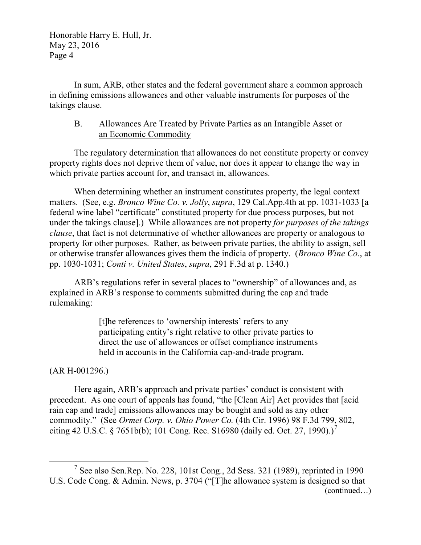In sum, ARB, other states and the federal government share a common approach in defining emissions allowances and other valuable instruments for purposes of the takings clause.

### B. Allowances Are Treated by Private Parties as an Intangible Asset or an Economic Commodity

The regulatory determination that allowances do not constitute property or convey property rights does not deprive them of value, nor does it appear to change the way in which private parties account for, and transact in, allowances.

When determining whether an instrument constitutes property, the legal context matters. (See, e.g. *Bronco Wine Co. v. Jolly*, *supra*, 129 Cal.App.4th at pp. 1031-1033 [a federal wine label "certificate" constituted property for due process purposes, but not under the takings clause].) While allowances are not property *for purposes of the takings clause*, that fact is not determinative of whether allowances are property or analogous to property for other purposes. Rather, as between private parties, the ability to assign, sell or otherwise transfer allowances gives them the indicia of property. (*Bronco Wine Co.*, at pp. 1030-1031; *Conti v. United States*, *supra*, 291 F.3d at p. 1340.)

ARB's regulations refer in several places to "ownership" of allowances and, as explained in ARB's response to comments submitted during the cap and trade rulemaking:

> [t]he references to 'ownership interests' refers to any participating entity's right relative to other private parties to direct the use of allowances or offset compliance instruments held in accounts in the California cap-and-trade program.

# (AR H-001296.)

Here again, ARB's approach and private parties' conduct is consistent with precedent. As one court of appeals has found, "the [Clean Air] Act provides that [acid rain cap and trade] emissions allowances may be bought and sold as any other commodity." (See *Ormet Corp. v. Ohio Power Co.* (4th Cir. 1996) 98 F.3d 799, 802, citing 42 U.S.C. § [7](#page-3-0)651b(b); 101 Cong. Rec. S16980 (daily ed. Oct. 27, 1990).)<sup>7</sup>

<span id="page-3-0"></span> <sup>7</sup> See also Sen.Rep. No. 228, 101st Cong., 2d Sess. 321 (1989), reprinted in 1990 U.S. Code Cong. & Admin. News, p. 3704 ("[T]he allowance system is designed so that (continued…)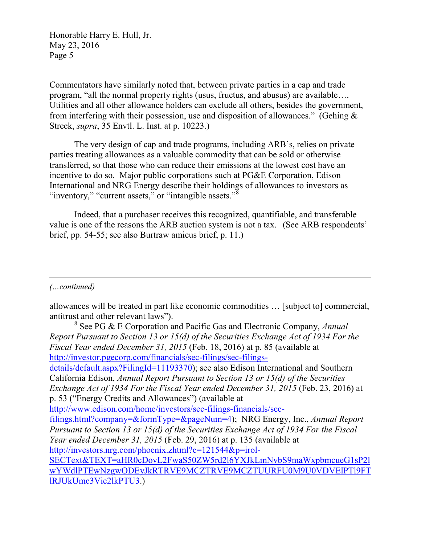Commentators have similarly noted that, between private parties in a cap and trade program, "all the normal property rights (usus, fructus, and abusus) are available…. Utilities and all other allowance holders can exclude all others, besides the government, from interfering with their possession, use and disposition of allowances." (Gehing  $\&$ Streck, *supra*, 35 Envtl. L. Inst. at p. 10223.)

The very design of cap and trade programs, including ARB's, relies on private parties treating allowances as a valuable commodity that can be sold or otherwise transferred, so that those who can reduce their emissions at the lowest cost have an incentive to do so. Major public corporations such at PG&E Corporation, Edison International and NRG Energy describe their holdings of allowances to investors as "inventory," "current assets," or "intangible assets." $\delta$ 

Indeed, that a purchaser receives this recognized, quantifiable, and transferable value is one of the reasons the ARB auction system is not a tax. (See ARB respondents' brief, pp. 54-55; see also Burtraw amicus brief, p. 11.)

*(…continued)*

 $\overline{a}$ 

allowances will be treated in part like economic commodities … [subject to] commercial, antitrust and other relevant laws").

<span id="page-4-0"></span><sup>8</sup> See PG & E Corporation and Pacific Gas and Electronic Company, *Annual Report Pursuant to Section 13 or 15(d) of the Securities Exchange Act of 1934 For the Fiscal Year ended December 31, 2015* (Feb. 18, 2016) at p. 85 (available at [http://investor.pgecorp.com/financials/sec-filings/sec-filings](http://investor.pgecorp.com/financials/sec-filings/sec-filings-details/default.aspx?FilingId=11193370)[details/default.aspx?FilingId=11193370\)](http://investor.pgecorp.com/financials/sec-filings/sec-filings-details/default.aspx?FilingId=11193370); see also Edison International and Southern California Edison, *Annual Report Pursuant to Section 13 or 15(d) of the Securities Exchange Act of 1934 For the Fiscal Year ended December 31, 2015* (Feb. 23, 2016) at p. 53 ("Energy Credits and Allowances") (available at [http://www.edison.com/home/investors/sec-filings-financials/sec](http://www.edison.com/home/investors/sec-filings-financials/sec-filings.html?company=&formType=&pageNum=4)[filings.html?company=&formType=&pageNum=4\)](http://www.edison.com/home/investors/sec-filings-financials/sec-filings.html?company=&formType=&pageNum=4); NRG Energy, Inc., *Annual Report Pursuant to Section 13 or 15(d) of the Securities Exchange Act of 1934 For the Fiscal Year ended December 31, 2015* (Feb. 29, 2016) at p. 135 (available at [http://investors.nrg.com/phoenix.zhtml?c=121544&p=irol-](http://investors.nrg.com/phoenix.zhtml?c=121544&p=irol-SECText&TEXT=aHR0cDovL2FwaS50ZW5rd2l6YXJkLmNvbS9maWxpbmcueG1sP2lwYWdlPTEwNzgwODEyJkRTRVE9MCZTRVE9MCZTUURFU0M9U0VDVElPTl9FTlRJUkUmc3Vic2lkPTU3)[SECText&TEXT=aHR0cDovL2FwaS50ZW5rd2l6YXJkLmNvbS9maWxpbmcueG1sP2l](http://investors.nrg.com/phoenix.zhtml?c=121544&p=irol-SECText&TEXT=aHR0cDovL2FwaS50ZW5rd2l6YXJkLmNvbS9maWxpbmcueG1sP2lwYWdlPTEwNzgwODEyJkRTRVE9MCZTRVE9MCZTUURFU0M9U0VDVElPTl9FTlRJUkUmc3Vic2lkPTU3) [wYWdlPTEwNzgwODEyJkRTRVE9MCZTRVE9MCZTUURFU0M9U0VDVElPTl9FT](http://investors.nrg.com/phoenix.zhtml?c=121544&p=irol-SECText&TEXT=aHR0cDovL2FwaS50ZW5rd2l6YXJkLmNvbS9maWxpbmcueG1sP2lwYWdlPTEwNzgwODEyJkRTRVE9MCZTRVE9MCZTUURFU0M9U0VDVElPTl9FTlRJUkUmc3Vic2lkPTU3) [lRJUkUmc3Vic2lkPTU3.](http://investors.nrg.com/phoenix.zhtml?c=121544&p=irol-SECText&TEXT=aHR0cDovL2FwaS50ZW5rd2l6YXJkLmNvbS9maWxpbmcueG1sP2lwYWdlPTEwNzgwODEyJkRTRVE9MCZTRVE9MCZTUURFU0M9U0VDVElPTl9FTlRJUkUmc3Vic2lkPTU3))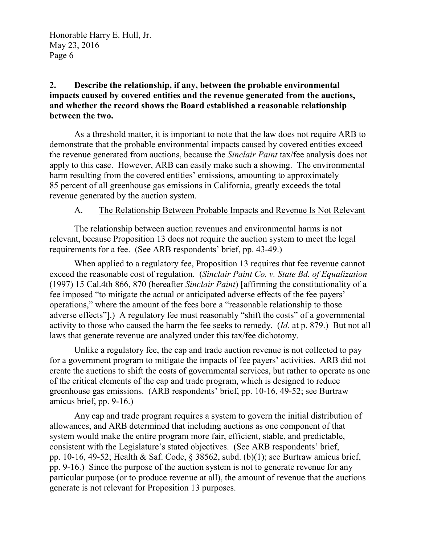## **2. Describe the relationship, if any, between the probable environmental impacts caused by covered entities and the revenue generated from the auctions, and whether the record shows the Board established a reasonable relationship between the two.**

As a threshold matter, it is important to note that the law does not require ARB to demonstrate that the probable environmental impacts caused by covered entities exceed the revenue generated from auctions, because the *Sinclair Paint* tax/fee analysis does not apply to this case. However, ARB can easily make such a showing. The environmental harm resulting from the covered entities' emissions, amounting to approximately 85 percent of all greenhouse gas emissions in California, greatly exceeds the total revenue generated by the auction system.

### A. The Relationship Between Probable Impacts and Revenue Is Not Relevant

The relationship between auction revenues and environmental harms is not relevant, because Proposition 13 does not require the auction system to meet the legal requirements for a fee. (See ARB respondents' brief, pp. 43-49.)

When applied to a regulatory fee, Proposition 13 requires that fee revenue cannot exceed the reasonable cost of regulation. (*Sinclair Paint Co. v. State Bd. of Equalization* (1997) 15 Cal.4th 866, 870 (hereafter *Sinclair Paint*) [affirming the constitutionality of a fee imposed "to mitigate the actual or anticipated adverse effects of the fee payers' operations," where the amount of the fees bore a "reasonable relationship to those adverse effects"].) A regulatory fee must reasonably "shift the costs" of a governmental activity to those who caused the harm the fee seeks to remedy. (*Id.* at p. 879.) But not all laws that generate revenue are analyzed under this tax/fee dichotomy.

Unlike a regulatory fee, the cap and trade auction revenue is not collected to pay for a government program to mitigate the impacts of fee payers' activities. ARB did not create the auctions to shift the costs of governmental services, but rather to operate as one of the critical elements of the cap and trade program, which is designed to reduce greenhouse gas emissions. (ARB respondents' brief, pp. 10-16, 49-52; see Burtraw amicus brief, pp. 9-16.)

Any cap and trade program requires a system to govern the initial distribution of allowances, and ARB determined that including auctions as one component of that system would make the entire program more fair, efficient, stable, and predictable, consistent with the Legislature's stated objectives. (See ARB respondents' brief, pp. 10-16, 49-52; Health & Saf. Code, § 38562, subd. (b)(1); see Burtraw amicus brief, pp. 9-16.) Since the purpose of the auction system is not to generate revenue for any particular purpose (or to produce revenue at all), the amount of revenue that the auctions generate is not relevant for Proposition 13 purposes.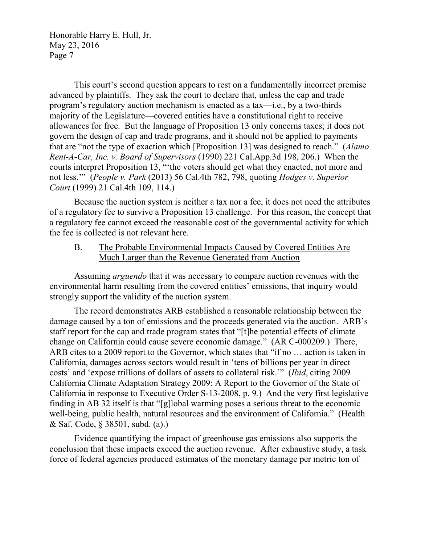This court's second question appears to rest on a fundamentally incorrect premise advanced by plaintiffs. They ask the court to declare that, unless the cap and trade program's regulatory auction mechanism is enacted as a tax—i.e., by a two-thirds majority of the Legislature—covered entities have a constitutional right to receive allowances for free. But the language of Proposition 13 only concerns taxes; it does not govern the design of cap and trade programs, and it should not be applied to payments that are "not the type of exaction which [Proposition 13] was designed to reach." (*Alamo Rent-A-Car, Inc. v. Board of Supervisors* (1990) 221 Cal.App.3d 198, 206.) When the courts interpret Proposition 13, "'the voters should get what they enacted, not more and not less.'" (*People v. Park* (2013) 56 Cal.4th 782, 798, quoting *Hodges v. Superior Court* (1999) 21 Cal.4th 109, 114.)

Because the auction system is neither a tax nor a fee, it does not need the attributes of a regulatory fee to survive a Proposition 13 challenge. For this reason, the concept that a regulatory fee cannot exceed the reasonable cost of the governmental activity for which the fee is collected is not relevant here.

B. The Probable Environmental Impacts Caused by Covered Entities Are Much Larger than the Revenue Generated from Auction

Assuming *arguendo* that it was necessary to compare auction revenues with the environmental harm resulting from the covered entities' emissions, that inquiry would strongly support the validity of the auction system.

The record demonstrates ARB established a reasonable relationship between the damage caused by a ton of emissions and the proceeds generated via the auction. ARB's staff report for the cap and trade program states that "[t]he potential effects of climate change on California could cause severe economic damage." (AR C-000209.) There, ARB cites to a 2009 report to the Governor, which states that "if no … action is taken in California, damages across sectors would result in 'tens of billions per year in direct costs' and 'expose trillions of dollars of assets to collateral risk.'" (*Ibid*, citing 2009 California Climate Adaptation Strategy 2009: A Report to the Governor of the State of California in response to Executive Order S-13-2008, p. 9*.*) And the very first legislative finding in AB 32 itself is that "[g]lobal warming poses a serious threat to the economic well-being, public health, natural resources and the environment of California." (Health & Saf. Code, § 38501, subd. (a).)

Evidence quantifying the impact of greenhouse gas emissions also supports the conclusion that these impacts exceed the auction revenue. After exhaustive study, a task force of federal agencies produced estimates of the monetary damage per metric ton of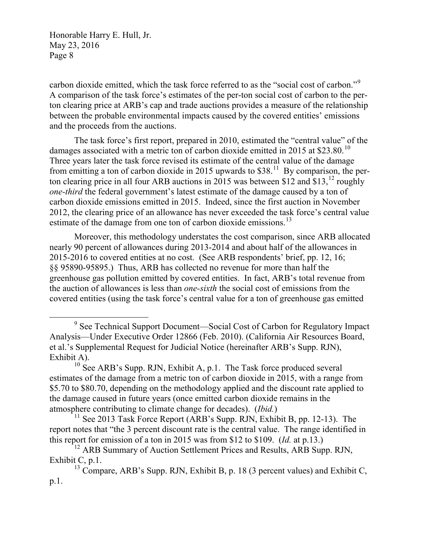carbon dioxide emitted, which the task force referred to as the "social cost of carbon."<sup>[9](#page-7-0)</sup> A comparison of the task force's estimates of the per-ton social cost of carbon to the perton clearing price at ARB's cap and trade auctions provides a measure of the relationship between the probable environmental impacts caused by the covered entities' emissions and the proceeds from the auctions.

The task force's first report, prepared in 2010, estimated the "central value" of the damages associated with a metric ton of carbon dioxide emitted in 2015 at \$23.80.<sup>10</sup> Three years later the task force revised its estimate of the central value of the damage from emitting a ton of carbon dioxide in 2015 upwards to  $$38<sup>11</sup>$  $$38<sup>11</sup>$  $$38<sup>11</sup>$  By comparison, the per-ton clearing price in all four ARB auctions in 2015 was between \$[12](#page-7-3) and \$13, $^{12}$  roughly *one-third* the federal government's latest estimate of the damage caused by a ton of carbon dioxide emissions emitted in 2015. Indeed, since the first auction in November 2012, the clearing price of an allowance has never exceeded the task force's central value estimate of the damage from one ton of carbon dioxide emissions.<sup>[13](#page-7-4)</sup>

Moreover, this methodology understates the cost comparison, since ARB allocated nearly 90 percent of allowances during 2013-2014 and about half of the allowances in 2015-2016 to covered entities at no cost. (See ARB respondents' brief, pp. 12, 16; §§ 95890-95895.) Thus, ARB has collected no revenue for more than half the greenhouse gas pollution emitted by covered entities. In fact, ARB's total revenue from the auction of allowances is less than *one-sixth* the social cost of emissions from the covered entities (using the task force's central value for a ton of greenhouse gas emitted

<span id="page-7-0"></span><sup>&</sup>lt;sup>9</sup> See Technical Support Document—Social Cost of Carbon for Regulatory Impact Analysis—Under Executive Order 12866 (Feb. 2010). (California Air Resources Board, et al.'s Supplemental Request for Judicial Notice (hereinafter ARB's Supp. RJN), Exhibit A).

<span id="page-7-1"></span> $10$  See ARB's Supp. RJN, Exhibit A, p.1. The Task force produced several estimates of the damage from a metric ton of carbon dioxide in 2015, with a range from \$5.70 to \$80.70, depending on the methodology applied and the discount rate applied to the damage caused in future years (once emitted carbon dioxide remains in the atmosphere contributing to climate change for decades). (*Ibid.*)

<span id="page-7-2"></span><sup>&</sup>lt;sup>11</sup> See 2013 Task Force Report (ARB's Supp. RJN, Exhibit B, pp. 12-13). The report notes that "the 3 percent discount rate is the central value. The range identified in this report for emission of a ton in 2015 was from \$12 to \$109. (*Id.* at p.13.)

<span id="page-7-3"></span><sup>&</sup>lt;sup>12</sup> ARB Summary of Auction Settlement Prices and Results, ARB Supp. RJN, Exhibit C, p.1.

<span id="page-7-4"></span> $13$  Compare, ARB's Supp. RJN, Exhibit B, p. 18 (3 percent values) and Exhibit C, p.1.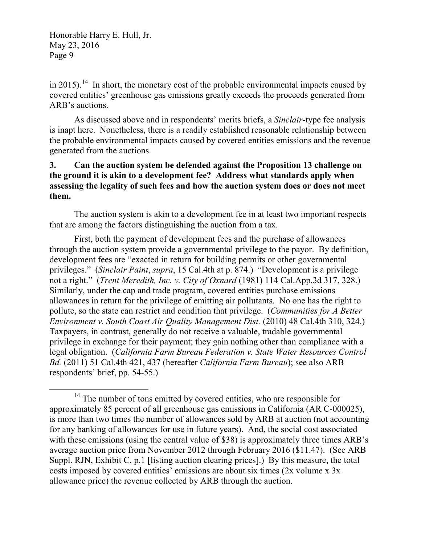in 2015).<sup>[14](#page-8-0)</sup> In short, the monetary cost of the probable environmental impacts caused by covered entities' greenhouse gas emissions greatly exceeds the proceeds generated from ARB's auctions.

As discussed above and in respondents' merits briefs, a *Sinclair*-type fee analysis is inapt here. Nonetheless, there is a readily established reasonable relationship between the probable environmental impacts caused by covered entities emissions and the revenue generated from the auctions.

### **3. Can the auction system be defended against the Proposition 13 challenge on the ground it is akin to a development fee? Address what standards apply when assessing the legality of such fees and how the auction system does or does not meet them.**

The auction system is akin to a development fee in at least two important respects that are among the factors distinguishing the auction from a tax.

First, both the payment of development fees and the purchase of allowances through the auction system provide a governmental privilege to the payor. By definition, development fees are "exacted in return for building permits or other governmental privileges." (*Sinclair Paint*, *supra*, 15 Cal.4th at p. 874.) "Development is a privilege not a right." (*Trent Meredith, Inc. v. City of Oxnard* (1981) 114 Cal.App.3d 317, 328.) Similarly, under the cap and trade program, covered entities purchase emissions allowances in return for the privilege of emitting air pollutants. No one has the right to pollute, so the state can restrict and condition that privilege. (*Communities for A Better Environment v. South Coast Air Quality Management Dist.* (2010) 48 Cal.4th 310, 324.) Taxpayers, in contrast, generally do not receive a valuable, tradable governmental privilege in exchange for their payment; they gain nothing other than compliance with a legal obligation. (*California Farm Bureau Federation v. State Water Resources Control Bd.* (2011) 51 Cal.4th 421, 437 (hereafter *California Farm Bureau*); see also ARB respondents' brief, pp. 54-55.)

<span id="page-8-0"></span><sup>&</sup>lt;sup>14</sup> The number of tons emitted by covered entities, who are responsible for approximately 85 percent of all greenhouse gas emissions in California (AR C-000025), is more than two times the number of allowances sold by ARB at auction (not accounting for any banking of allowances for use in future years). And, the social cost associated with these emissions (using the central value of \$38) is approximately three times ARB's average auction price from November 2012 through February 2016 (\$11.47). (See ARB Suppl. RJN, Exhibit C, p.1 [listing auction clearing prices].) By this measure, the total costs imposed by covered entities' emissions are about six times (2x volume x 3x allowance price) the revenue collected by ARB through the auction.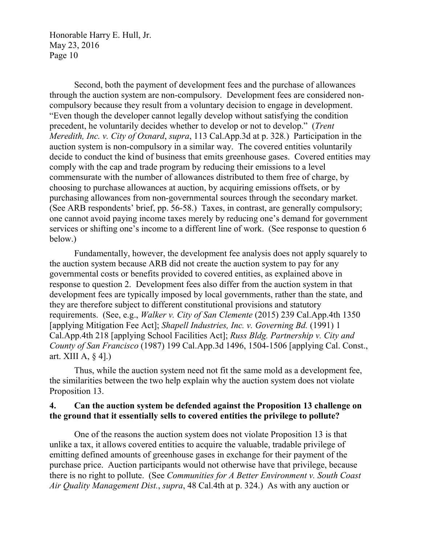Second, both the payment of development fees and the purchase of allowances through the auction system are non-compulsory. Development fees are considered noncompulsory because they result from a voluntary decision to engage in development. "Even though the developer cannot legally develop without satisfying the condition precedent, he voluntarily decides whether to develop or not to develop." (*Trent Meredith, Inc. v. City of Oxnard*, *supra*, 113 Cal.App.3d at p. 328*.*) Participation in the auction system is non-compulsory in a similar way. The covered entities voluntarily decide to conduct the kind of business that emits greenhouse gases. Covered entities may comply with the cap and trade program by reducing their emissions to a level commensurate with the number of allowances distributed to them free of charge, by choosing to purchase allowances at auction, by acquiring emissions offsets, or by purchasing allowances from non-governmental sources through the secondary market. (See ARB respondents' brief, pp. 56-58.) Taxes, in contrast, are generally compulsory; one cannot avoid paying income taxes merely by reducing one's demand for government services or shifting one's income to a different line of work. (See response to question 6 below.)

Fundamentally, however, the development fee analysis does not apply squarely to the auction system because ARB did not create the auction system to pay for any governmental costs or benefits provided to covered entities, as explained above in response to question 2. Development fees also differ from the auction system in that development fees are typically imposed by local governments, rather than the state, and they are therefore subject to different constitutional provisions and statutory requirements. (See, e.g., *Walker v. City of San Clemente* (2015) 239 Cal.App.4th 1350 [applying Mitigation Fee Act]; *Shapell Industries, Inc. v. Governing Bd.* (1991) 1 Cal.App.4th 218 [applying School Facilities Act]; *Russ Bldg. Partnership v. City and County of San Francisco* (1987) 199 Cal.App.3d 1496, 1504-1506 [applying Cal. Const., art. XIII A, § 4].)

Thus, while the auction system need not fit the same mold as a development fee, the similarities between the two help explain why the auction system does not violate Proposition 13.

### **4. Can the auction system be defended against the Proposition 13 challenge on the ground that it essentially sells to covered entities the privilege to pollute?**

One of the reasons the auction system does not violate Proposition 13 is that unlike a tax, it allows covered entities to acquire the valuable, tradable privilege of emitting defined amounts of greenhouse gases in exchange for their payment of the purchase price. Auction participants would not otherwise have that privilege, because there is no right to pollute. (See *Communities for A Better Environment v. South Coast Air Quality Management Dist.*, *supra*, 48 Cal.4th at p. 324.) As with any auction or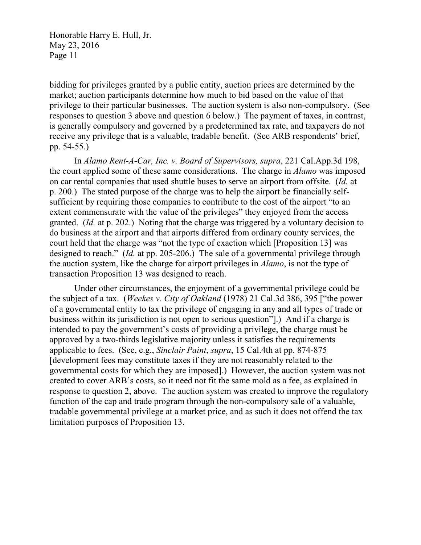bidding for privileges granted by a public entity, auction prices are determined by the market; auction participants determine how much to bid based on the value of that privilege to their particular businesses. The auction system is also non-compulsory. (See responses to question 3 above and question 6 below.) The payment of taxes, in contrast, is generally compulsory and governed by a predetermined tax rate, and taxpayers do not receive any privilege that is a valuable, tradable benefit. (See ARB respondents' brief, pp. 54-55.)

In *Alamo Rent-A-Car, Inc. v. Board of Supervisors, supra*, 221 Cal.App.3d 198, the court applied some of these same considerations. The charge in *Alamo* was imposed on car rental companies that used shuttle buses to serve an airport from offsite. (*Id.* at p. 200.) The stated purpose of the charge was to help the airport be financially selfsufficient by requiring those companies to contribute to the cost of the airport "to an extent commensurate with the value of the privileges" they enjoyed from the access granted. (*Id.* at p. 202.) Noting that the charge was triggered by a voluntary decision to do business at the airport and that airports differed from ordinary county services, the court held that the charge was "not the type of exaction which [Proposition 13] was designed to reach." (*Id.* at pp. 205-206.) The sale of a governmental privilege through the auction system, like the charge for airport privileges in *Alamo*, is not the type of transaction Proposition 13 was designed to reach.

Under other circumstances, the enjoyment of a governmental privilege could be the subject of a tax. (*Weekes v. City of Oakland* (1978) 21 Cal.3d 386, 395 ["the power of a governmental entity to tax the privilege of engaging in any and all types of trade or business within its jurisdiction is not open to serious question"].) And if a charge is intended to pay the government's costs of providing a privilege, the charge must be approved by a two-thirds legislative majority unless it satisfies the requirements applicable to fees. (See, e.g., *Sinclair Paint*, *supra*, 15 Cal.4th at pp. 874-875 [development fees may constitute taxes if they are not reasonably related to the governmental costs for which they are imposed].) However, the auction system was not created to cover ARB's costs, so it need not fit the same mold as a fee, as explained in response to question 2, above. The auction system was created to improve the regulatory function of the cap and trade program through the non-compulsory sale of a valuable, tradable governmental privilege at a market price, and as such it does not offend the tax limitation purposes of Proposition 13.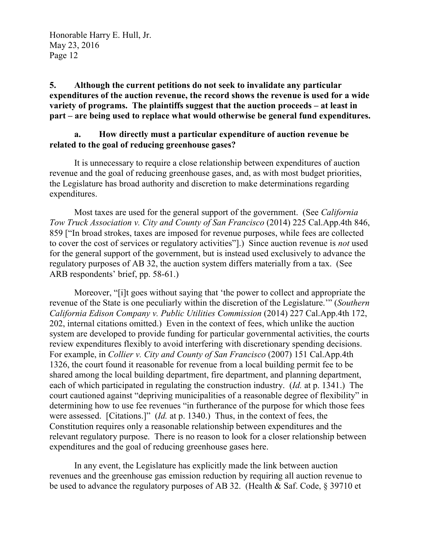**5. Although the current petitions do not seek to invalidate any particular expenditures of the auction revenue, the record shows the revenue is used for a wide variety of programs. The plaintiffs suggest that the auction proceeds – at least in part – are being used to replace what would otherwise be general fund expenditures.**

### **a. How directly must a particular expenditure of auction revenue be related to the goal of reducing greenhouse gases?**

It is unnecessary to require a close relationship between expenditures of auction revenue and the goal of reducing greenhouse gases, and, as with most budget priorities, the Legislature has broad authority and discretion to make determinations regarding expenditures.

Most taxes are used for the general support of the government. (See *California Tow Truck Association v. City and County of San Francisco* (2014) 225 Cal.App.4th 846, 859 ["In broad strokes, taxes are imposed for revenue purposes, while fees are collected to cover the cost of services or regulatory activities"].) Since auction revenue is *not* used for the general support of the government, but is instead used exclusively to advance the regulatory purposes of AB 32, the auction system differs materially from a tax. (See ARB respondents' brief, pp. 58-61.)

Moreover, "[i]t goes without saying that 'the power to collect and appropriate the revenue of the State is one peculiarly within the discretion of the Legislature.'" (*Southern California Edison Company v. Public Utilities Commission* (2014) 227 Cal.App.4th 172, 202, internal citations omitted.) Even in the context of fees, which unlike the auction system are developed to provide funding for particular governmental activities, the courts review expenditures flexibly to avoid interfering with discretionary spending decisions. For example, in *Collier v. City and County of San Francisco* (2007) 151 Cal.App.4th 1326, the court found it reasonable for revenue from a local building permit fee to be shared among the local building department, fire department, and planning department, each of which participated in regulating the construction industry. (*Id.* at p. 1341.) The court cautioned against "depriving municipalities of a reasonable degree of flexibility" in determining how to use fee revenues "in furtherance of the purpose for which those fees were assessed. [Citations.]" (*Id.* at p. 1340.) Thus, in the context of fees, the Constitution requires only a reasonable relationship between expenditures and the relevant regulatory purpose. There is no reason to look for a closer relationship between expenditures and the goal of reducing greenhouse gases here.

In any event, the Legislature has explicitly made the link between auction revenues and the greenhouse gas emission reduction by requiring all auction revenue to be used to advance the regulatory purposes of AB 32. (Health & Saf. Code, § 39710 et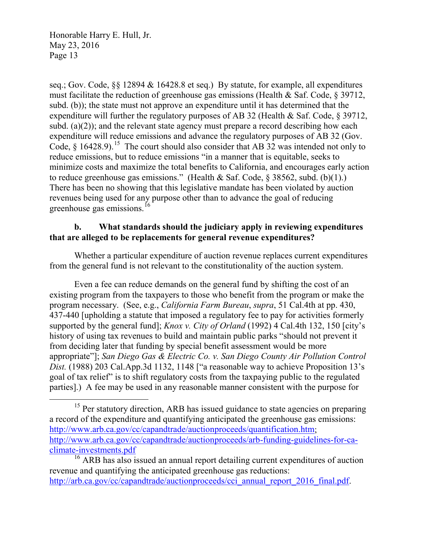seq.; Gov. Code, §§ 12894 & 16428.8 et seq.) By statute, for example, all expenditures must facilitate the reduction of greenhouse gas emissions (Health & Saf. Code, § 39712, subd. (b)); the state must not approve an expenditure until it has determined that the expenditure will further the regulatory purposes of AB 32 (Health & Saf. Code, § 39712, subd. (a)(2)); and the relevant state agency must prepare a record describing how each expenditure will reduce emissions and advance the regulatory purposes of AB 32 (Gov. Code,  $\delta$  16428.9).<sup>15</sup> The court should also consider that AB 32 was intended not only to reduce emissions, but to reduce emissions "in a manner that is equitable, seeks to minimize costs and maximize the total benefits to California, and encourages early action to reduce greenhouse gas emissions." (Health & Saf. Code,  $\S$  38562, subd. (b)(1).) There has been no showing that this legislative mandate has been violated by auction revenues being used for any purpose other than to advance the goal of reducing greenhouse gas emissions.<sup>[16](#page-12-1)</sup>

### **b. What standards should the judiciary apply in reviewing expenditures that are alleged to be replacements for general revenue expenditures?**

Whether a particular expenditure of auction revenue replaces current expenditures from the general fund is not relevant to the constitutionality of the auction system.

Even a fee can reduce demands on the general fund by shifting the cost of an existing program from the taxpayers to those who benefit from the program or make the program necessary. (See, e.g., *California Farm Bureau*, *supra*, 51 Cal.4th at pp. 430, 437-440 [upholding a statute that imposed a regulatory fee to pay for activities formerly supported by the general fund]; *Knox v. City of Orland* (1992) 4 Cal.4th 132, 150 [city's history of using tax revenues to build and maintain public parks "should not prevent it from deciding later that funding by special benefit assessment would be more appropriate"]; *San Diego Gas & Electric Co. v. San Diego County Air Pollution Control Dist.* (1988) 203 Cal.App.3d 1132, 1148 ["a reasonable way to achieve Proposition 13's goal of tax relief" is to shift regulatory costs from the taxpaying public to the regulated parties].) A fee may be used in any reasonable manner consistent with the purpose for

<span id="page-12-0"></span><sup>&</sup>lt;sup>15</sup> Per statutory direction, ARB has issued guidance to state agencies on preparing a record of the expenditure and quantifying anticipated the greenhouse gas emissions: [http://www.arb.ca.gov/cc/capandtrade/auctionproceeds/quantification.htm;](http://www.arb.ca.gov/cc/capandtrade/auctionproceeds/quantification.htm) [http://www.arb.ca.gov/cc/capandtrade/auctionproceeds/arb-funding-guidelines-for-ca](http://www.arb.ca.gov/cc/capandtrade/auctionproceeds/arb-funding-guidelines-for-ca-climate-investments.pdf)[climate-investments.pdf](http://www.arb.ca.gov/cc/capandtrade/auctionproceeds/arb-funding-guidelines-for-ca-climate-investments.pdf)

<span id="page-12-1"></span><sup>&</sup>lt;sup>16</sup> ARB has also issued an annual report detailing current expenditures of auction revenue and quantifying the anticipated greenhouse gas reductions: [http://arb.ca.gov/cc/capandtrade/auctionproceeds/cci\\_annual\\_report\\_2016\\_final.pdf.](http://arb.ca.gov/cc/capandtrade/auctionproceeds/cci_annual_report_2016_final.pdf)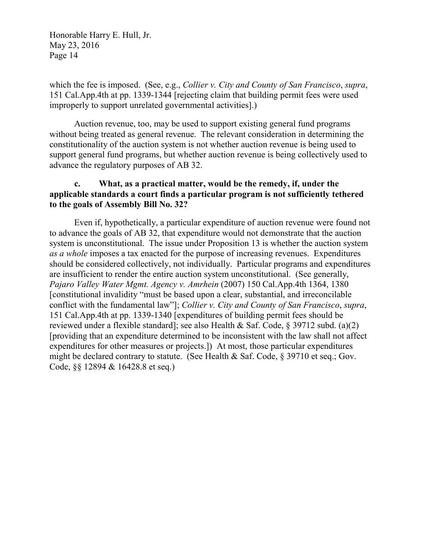which the fee is imposed. (See, e.g., *Collier v. City and County of San Francisco*, *supra*, 151 Cal.App.4th at pp. 1339-1344 [rejecting claim that building permit fees were used improperly to support unrelated governmental activities].)

Auction revenue, too, may be used to support existing general fund programs without being treated as general revenue. The relevant consideration in determining the constitutionality of the auction system is not whether auction revenue is being used to support general fund programs, but whether auction revenue is being collectively used to advance the regulatory purposes of AB 32.

### **c. What, as a practical matter, would be the remedy, if, under the applicable standards a court finds a particular program is not sufficiently tethered to the goals of Assembly Bill No. 32?**

Even if, hypothetically, a particular expenditure of auction revenue were found not to advance the goals of AB 32, that expenditure would not demonstrate that the auction system is unconstitutional. The issue under Proposition 13 is whether the auction system *as a whole* imposes a tax enacted for the purpose of increasing revenues. Expenditures should be considered collectively, not individually. Particular programs and expenditures are insufficient to render the entire auction system unconstitutional. (See generally, *Pajaro Valley Water Mgmt. Agency v. Amrhein* (2007) 150 Cal.App.4th 1364, 1380 [constitutional invalidity "must be based upon a clear, substantial, and irreconcilable conflict with the fundamental law"]; *Collier v. City and County of San Francisco*, *supra*, 151 Cal.App.4th at pp. 1339-1340 [expenditures of building permit fees should be reviewed under a flexible standard]; see also Health & Saf. Code, § 39712 subd. (a)(2) [providing that an expenditure determined to be inconsistent with the law shall not affect expenditures for other measures or projects.]) At most, those particular expenditures might be declared contrary to statute. (See Health & Saf. Code, § 39710 et seq.; Gov. Code, §§ 12894 & 16428.8 et seq.)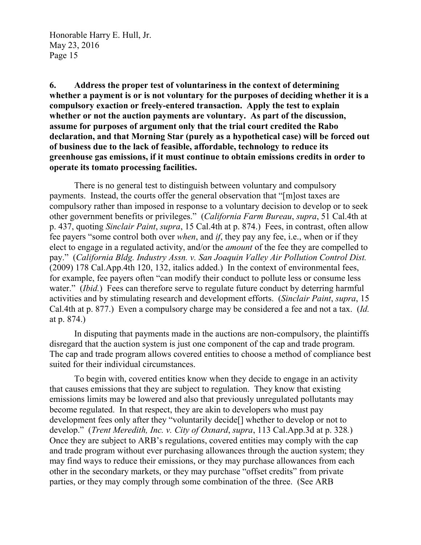**6. Address the proper test of voluntariness in the context of determining whether a payment is or is not voluntary for the purposes of deciding whether it is a compulsory exaction or freely-entered transaction. Apply the test to explain whether or not the auction payments are voluntary. As part of the discussion, assume for purposes of argument only that the trial court credited the Rabo declaration, and that Morning Star (purely as a hypothetical case) will be forced out of business due to the lack of feasible, affordable, technology to reduce its greenhouse gas emissions, if it must continue to obtain emissions credits in order to operate its tomato processing facilities.**

There is no general test to distinguish between voluntary and compulsory payments. Instead, the courts offer the general observation that "[m]ost taxes are compulsory rather than imposed in response to a voluntary decision to develop or to seek other government benefits or privileges." (*California Farm Bureau*, *supra*, 51 Cal.4th at p. 437, quoting *Sinclair Paint*, *supra*, 15 Cal.4th at p. 874.) Fees, in contrast, often allow fee payers "some control both over *when*, and *if*, they pay any fee, i.e., when or if they elect to engage in a regulated activity, and/or the *amount* of the fee they are compelled to pay." (*California Bldg. Industry Assn. v. San Joaquin Valley Air Pollution Control Dist.* (2009) 178 Cal.App.4th 120, 132, italics added.) In the context of environmental fees, for example, fee payers often "can modify their conduct to pollute less or consume less water." *(Ibid.)* Fees can therefore serve to regulate future conduct by deterring harmful activities and by stimulating research and development efforts. (*Sinclair Paint*, *supra*, 15 Cal.4th at p. 877.) Even a compulsory charge may be considered a fee and not a tax. (*Id.* at p. 874.)

In disputing that payments made in the auctions are non-compulsory, the plaintiffs disregard that the auction system is just one component of the cap and trade program. The cap and trade program allows covered entities to choose a method of compliance best suited for their individual circumstances.

To begin with, covered entities know when they decide to engage in an activity that causes emissions that they are subject to regulation. They know that existing emissions limits may be lowered and also that previously unregulated pollutants may become regulated. In that respect, they are akin to developers who must pay development fees only after they "voluntarily decide[] whether to develop or not to develop." (*Trent Meredith, Inc. v. City of Oxnard*, *supra*, 113 Cal.App.3d at p. 328*.*) Once they are subject to ARB's regulations, covered entities may comply with the cap and trade program without ever purchasing allowances through the auction system; they may find ways to reduce their emissions, or they may purchase allowances from each other in the secondary markets, or they may purchase "offset credits" from private parties, or they may comply through some combination of the three. (See ARB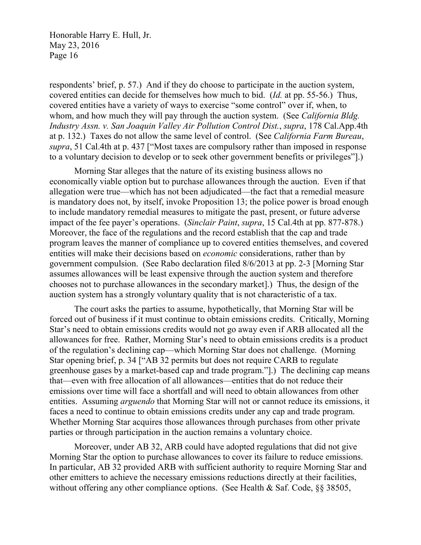respondents' brief, p. 57.) And if they do choose to participate in the auction system, covered entities can decide for themselves how much to bid. (*Id.* at pp. 55-56.) Thus, covered entities have a variety of ways to exercise "some control" over if, when, to whom, and how much they will pay through the auction system. (See *California Bldg. Industry Assn. v. San Joaquin Valley Air Pollution Control Dist.*, *supra*, 178 Cal.App.4th at p. 132.) Taxes do not allow the same level of control. (See *California Farm Bureau*, *supra*, 51 Cal.4th at p. 437 ["Most taxes are compulsory rather than imposed in response to a voluntary decision to develop or to seek other government benefits or privileges"].)

Morning Star alleges that the nature of its existing business allows no economically viable option but to purchase allowances through the auction. Even if that allegation were true—which has not been adjudicated—the fact that a remedial measure is mandatory does not, by itself, invoke Proposition 13; the police power is broad enough to include mandatory remedial measures to mitigate the past, present, or future adverse impact of the fee payer's operations. (*Sinclair Paint*, *supra*, 15 Cal.4th at pp. 877-878.) Moreover, the face of the regulations and the record establish that the cap and trade program leaves the manner of compliance up to covered entities themselves, and covered entities will make their decisions based on *economic* considerations, rather than by government compulsion. (See Rabo declaration filed 8/6/2013 at pp. 2-3 [Morning Star assumes allowances will be least expensive through the auction system and therefore chooses not to purchase allowances in the secondary market].) Thus, the design of the auction system has a strongly voluntary quality that is not characteristic of a tax.

The court asks the parties to assume, hypothetically, that Morning Star will be forced out of business if it must continue to obtain emissions credits. Critically, Morning Star's need to obtain emissions credits would not go away even if ARB allocated all the allowances for free. Rather, Morning Star's need to obtain emissions credits is a product of the regulation's declining cap—which Morning Star does not challenge. (Morning Star opening brief, p. 34 ["AB 32 permits but does not require CARB to regulate greenhouse gases by a market-based cap and trade program."].) The declining cap means that—even with free allocation of all allowances—entities that do not reduce their emissions over time will face a shortfall and will need to obtain allowances from other entities. Assuming *arguendo* that Morning Star will not or cannot reduce its emissions, it faces a need to continue to obtain emissions credits under any cap and trade program. Whether Morning Star acquires those allowances through purchases from other private parties or through participation in the auction remains a voluntary choice.

Moreover, under AB 32, ARB could have adopted regulations that did not give Morning Star the option to purchase allowances to cover its failure to reduce emissions. In particular, AB 32 provided ARB with sufficient authority to require Morning Star and other emitters to achieve the necessary emissions reductions directly at their facilities, without offering any other compliance options. (See Health & Saf. Code, §§ 38505,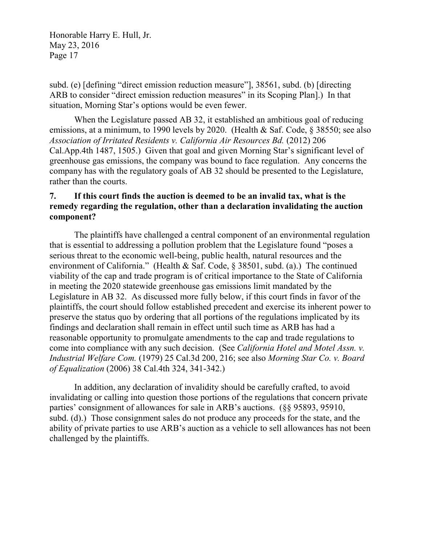subd. (e) [defining "direct emission reduction measure"], 38561, subd. (b) [directing ARB to consider "direct emission reduction measures" in its Scoping Plan].) In that situation, Morning Star's options would be even fewer.

When the Legislature passed AB 32, it established an ambitious goal of reducing emissions, at a minimum, to 1990 levels by 2020. (Health & Saf. Code, § 38550; see also *Association of Irritated Residents v. California Air Resources Bd.* (2012) 206 Cal.App.4th 1487, 1505.) Given that goal and given Morning Star's significant level of greenhouse gas emissions, the company was bound to face regulation. Any concerns the company has with the regulatory goals of AB 32 should be presented to the Legislature, rather than the courts.

## **7. If this court finds the auction is deemed to be an invalid tax, what is the remedy regarding the regulation, other than a declaration invalidating the auction component?**

The plaintiffs have challenged a central component of an environmental regulation that is essential to addressing a pollution problem that the Legislature found "poses a serious threat to the economic well-being, public health, natural resources and the environment of California." (Health & Saf. Code, § 38501, subd. (a).) The continued viability of the cap and trade program is of critical importance to the State of California in meeting the 2020 statewide greenhouse gas emissions limit mandated by the Legislature in AB 32. As discussed more fully below, if this court finds in favor of the plaintiffs, the court should follow established precedent and exercise its inherent power to preserve the status quo by ordering that all portions of the regulations implicated by its findings and declaration shall remain in effect until such time as ARB has had a reasonable opportunity to promulgate amendments to the cap and trade regulations to come into compliance with any such decision. (See *California Hotel and Motel Assn. v. Industrial Welfare Com.* (1979) 25 Cal.3d 200, 216; see also *Morning Star Co. v. Board of Equalization* (2006) 38 Cal.4th 324, 341-342.)

In addition, any declaration of invalidity should be carefully crafted, to avoid invalidating or calling into question those portions of the regulations that concern private parties' consignment of allowances for sale in ARB's auctions. (§§ 95893, 95910, subd. (d).) Those consignment sales do not produce any proceeds for the state, and the ability of private parties to use ARB's auction as a vehicle to sell allowances has not been challenged by the plaintiffs.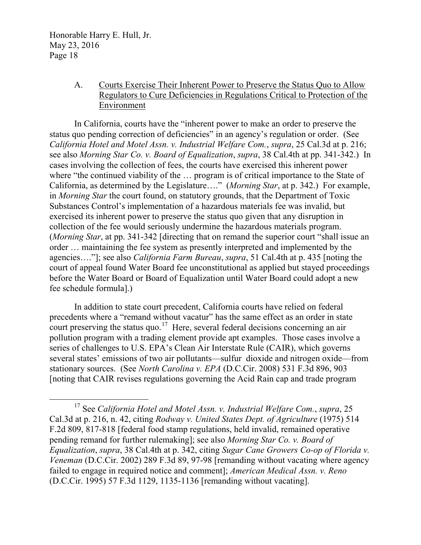### A. Courts Exercise Their Inherent Power to Preserve the Status Quo to Allow Regulators to Cure Deficiencies in Regulations Critical to Protection of the Environment

In California, courts have the "inherent power to make an order to preserve the status quo pending correction of deficiencies" in an agency's regulation or order. (See *California Hotel and Motel Assn. v. Industrial Welfare Com.*, *supra*, 25 Cal.3d at p. 216; see also *Morning Star Co. v. Board of Equalization*, *supra*, 38 Cal.4th at pp. 341-342.) In cases involving the collection of fees, the courts have exercised this inherent power where "the continued viability of the … program is of critical importance to the State of California, as determined by the Legislature…." (*Morning Star*, at p. 342.) For example, in *Morning Star* the court found, on statutory grounds, that the Department of Toxic Substances Control's implementation of a hazardous materials fee was invalid, but exercised its inherent power to preserve the status quo given that any disruption in collection of the fee would seriously undermine the hazardous materials program. (*Morning Star*, at pp. 341-342 [directing that on remand the superior court "shall issue an order … maintaining the fee system as presently interpreted and implemented by the agencies…."]; see also *California Farm Bureau*, *supra*, 51 Cal.4th at p. 435 [noting the court of appeal found Water Board fee unconstitutional as applied but stayed proceedings before the Water Board or Board of Equalization until Water Board could adopt a new fee schedule formula].)

In addition to state court precedent, California courts have relied on federal precedents where a "remand without vacatur" has the same effect as an order in state court preserving the status quo.<sup>17</sup> Here, several federal decisions concerning an air pollution program with a trading element provide apt examples. Those cases involve a series of challenges to U.S. EPA's Clean Air Interstate Rule (CAIR), which governs several states' emissions of two air pollutants—sulfur dioxide and nitrogen oxide—from stationary sources. (See *North Carolina v. EPA* (D.C.Cir. 2008) 531 F.3d 896, 903 [noting that CAIR revises regulations governing the Acid Rain cap and trade program

<span id="page-17-0"></span> <sup>17</sup> See *California Hotel and Motel Assn. v. Industrial Welfare Com.*, *supra*, 25 Cal.3d at p. 216, n. 42, citing *Rodway v. United States Dept. of Agriculture* (1975) 514 F.2d 809, 817-818 [federal food stamp regulations, held invalid, remained operative pending remand for further rulemaking]; see also *Morning Star Co. v. Board of Equalization*, *supra*, 38 Cal.4th at p. 342, citing *Sugar Cane Growers Co-op of Florida v. Veneman* (D.C.Cir. 2002) 289 F.3d 89, 97-98 [remanding without vacating where agency failed to engage in required notice and comment]; *American Medical Assn. v. Reno* (D.C.Cir. 1995) 57 F.3d 1129, 1135-1136 [remanding without vacating].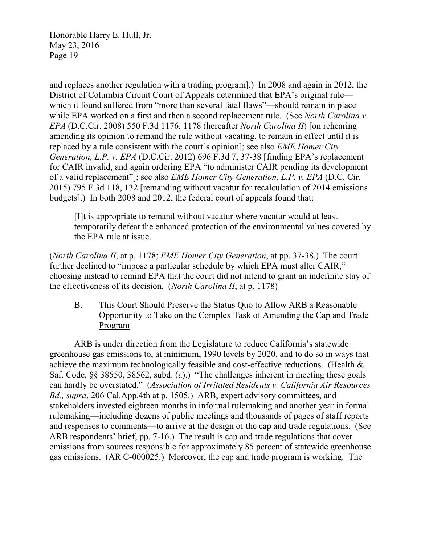and replaces another regulation with a trading program].) In 2008 and again in 2012, the District of Columbia Circuit Court of Appeals determined that EPA's original rule which it found suffered from "more than several fatal flaws"—should remain in place while EPA worked on a first and then a second replacement rule. (See *North Carolina v. EPA* (D.C.Cir. 2008) 550 F.3d 1176, 1178 (hereafter *North Carolina II*) [on rehearing amending its opinion to remand the rule without vacating, to remain in effect until it is replaced by a rule consistent with the court's opinion]; see also *EME Homer City Generation, L.P. v. EPA* (D.C.Cir. 2012) 696 F.3d 7, 37-38 [finding EPA's replacement for CAIR invalid, and again ordering EPA "to administer CAIR pending its development of a valid replacement"]; see also *EME Homer City Generation, L.P. v. EPA* (D.C. Cir. 2015) 795 F.3d 118, 132 [remanding without vacatur for recalculation of 2014 emissions budgets].) In both 2008 and 2012, the federal court of appeals found that:

[I]t is appropriate to remand without vacatur where vacatur would at least temporarily defeat the enhanced protection of the environmental values covered by the EPA rule at issue.

(*North Carolina II*, at p. 1178; *EME Homer City Generation*, at pp. 37-38.) The court further declined to "impose a particular schedule by which EPA must alter CAIR," choosing instead to remind EPA that the court did not intend to grant an indefinite stay of the effectiveness of its decision. (*North Carolina II*, at p. 1178)

B. This Court Should Preserve the Status Quo to Allow ARB a Reasonable Opportunity to Take on the Complex Task of Amending the Cap and Trade Program

ARB is under direction from the Legislature to reduce California's statewide greenhouse gas emissions to, at minimum, 1990 levels by 2020, and to do so in ways that achieve the maximum technologically feasible and cost-effective reductions. (Health & Saf. Code, §§ 38550, 38562, subd. (a).) "The challenges inherent in meeting these goals can hardly be overstated." (*Association of Irritated Residents v. California Air Resources Bd., supra*, 206 Cal.App.4th at p. 1505.) ARB, expert advisory committees, and stakeholders invested eighteen months in informal rulemaking and another year in formal rulemaking—including dozens of public meetings and thousands of pages of staff reports and responses to comments—to arrive at the design of the cap and trade regulations. (See ARB respondents' brief, pp. 7-16.) The result is cap and trade regulations that cover emissions from sources responsible for approximately 85 percent of statewide greenhouse gas emissions. (AR C-000025.) Moreover, the cap and trade program is working. The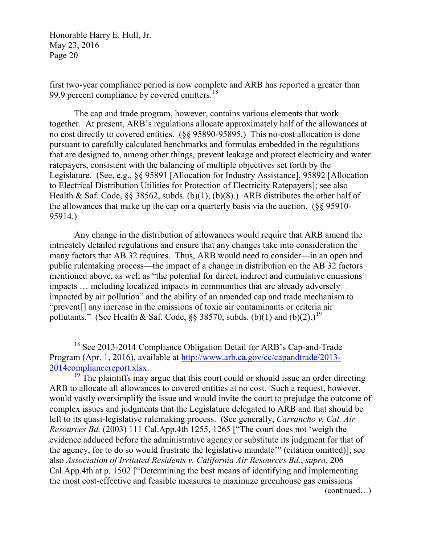first two-year compliance period is now complete and ARB has reported a greater than 99.9 percent compliance by covered emitters.<sup>[18](#page-19-0)</sup>

The cap and trade program, however, contains various elements that work together. At present, ARB's regulations allocate approximately half of the allowances at no cost directly to covered entities. (§§ 95890-95895.) This no-cost allocation is done pursuant to carefully calculated benchmarks and formulas embedded in the regulations that are designed to, among other things, prevent leakage and protect electricity and water ratepayers, consistent with the balancing of multiple objectives set forth by the Legislature. (See, e.g., §§ 95891 [Allocation for Industry Assistance], 95892 [Allocation to Electrical Distribution Utilities for Protection of Electricity Ratepayers]; see also Health & Saf. Code,  $\S$  38562, subds. (b)(1), (b)(8).) ARB distributes the other half of the allowances that make up the cap on a quarterly basis via the auction. (§§ 95910- 95914.)

Any change in the distribution of allowances would require that ARB amend the intricately detailed regulations and ensure that any changes take into consideration the many factors that AB 32 requires. Thus, ARB would need to consider—in an open and public rulemaking process—the impact of a change in distribution on the AB 32 factors mentioned above, as well as "the potential for direct, indirect and cumulative emissions impacts … including localized impacts in communities that are already adversely impacted by air pollution" and the ability of an amended cap and trade mechanism to "prevent[] any increase in the emissions of toxic air contaminants or criteria air pollutants." (See Health & Saf. Code,  $\S$ § 38570, subds. (b)(1) and (b)(2).)<sup>[19](#page-19-1)</sup>

<span id="page-19-0"></span><sup>&</sup>lt;sup>18</sup> See 2013-2014 Compliance Obligation Detail for ARB's Cap-and-Trade Program (Apr. 1, 2016), available at [http://www.arb.ca.gov/cc/capandtrade/2013-](http://www.arb.ca.gov/cc/capandtrade/2013-2014compliancereport.xlsx)  $\frac{2014$ compliancereport.xlsx.<br><sup>19</sup> The plaintiffs may argue that this court could or should issue an order directing

<span id="page-19-1"></span>ARB to allocate all allowances to covered entities at no cost. Such a request, however, would vastly oversimplify the issue and would invite the court to prejudge the outcome of complex issues and judgments that the Legislature delegated to ARB and that should be left to its quasi-legislative rulemaking process. (See generally, *Carrancho v. Cal. Air Resources Bd.* (2003) 111 Cal.App.4th 1255, 1265 ["The court does not 'weigh the evidence adduced before the administrative agency or substitute its judgment for that of the agency, for to do so would frustrate the legislative mandate'" (citation omitted)]; see also *Association of Irritated Residents v. California Air Resources Bd.*, *supra*, 206 Cal.App.4th at p. 1502 ["Determining the best means of identifying and implementing the most cost-effective and feasible measures to maximize greenhouse gas emissions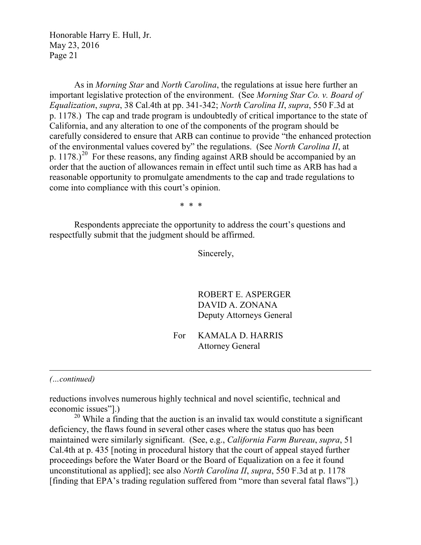As in *Morning Star* and *North Carolina*, the regulations at issue here further an important legislative protection of the environment. (See *Morning Star Co. v. Board of Equalization*, *supra*, 38 Cal.4th at pp. 341-342; *North Carolina II*, *supra*, 550 F.3d at p. 1178.) The cap and trade program is undoubtedly of critical importance to the state of California, and any alteration to one of the components of the program should be carefully considered to ensure that ARB can continue to provide "the enhanced protection of the environmental values covered by" the regulations. (See *North Carolina II*, at p.  $1178$ .)<sup>20</sup> For these reasons, any finding against ARB should be accompanied by an order that the auction of allowances remain in effect until such time as ARB has had a reasonable opportunity to promulgate amendments to the cap and trade regulations to come into compliance with this court's opinion.

\* \* \*

Respondents appreciate the opportunity to address the court's questions and respectfully submit that the judgment should be affirmed.

Sincerely,

ROBERT E. ASPERGER DAVID A. ZONANA Deputy Attorneys General

For KAMALA D. HARRIS Attorney General

*(…continued)*

 $\overline{a}$ 

reductions involves numerous highly technical and novel scientific, technical and economic issues"].)

<span id="page-20-0"></span> $20$  While a finding that the auction is an invalid tax would constitute a significant deficiency, the flaws found in several other cases where the status quo has been maintained were similarly significant. (See, e.g., *California Farm Bureau*, *supra*, 51 Cal.4th at p. 435 [noting in procedural history that the court of appeal stayed further proceedings before the Water Board or the Board of Equalization on a fee it found unconstitutional as applied]; see also *North Carolina II*, *supra*, 550 F.3d at p. 1178 [finding that EPA's trading regulation suffered from "more than several fatal flaws"].)